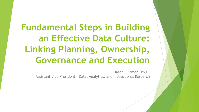**Fundamental Steps in Building an Effective Data Culture: Linking Planning, Ownership, Governance and Execution**

> Jason F. Simon, Ph.D. Assistant Vice President – Data, Analytics, and Institutional Research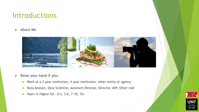# Introductions

About Me



Raise your hand if you:

- ▶ Work at a 2 year institution, 4 year institution, other entity or agency
- Data Analyst, Data Scientist, Assistant Director, Director, AVP, Other role
- Years in Higher Ed 0-2, 3-6, 7-10,  $10+$



**EST. 1890**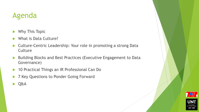# Agenda

- Why This Topic
- What is Data Culture?
- ▶ Culture-Centric Leadership: Your role in promoting a strong Data **Culture**
- ▶ Building Blocks and Best Practices (Executive Engagement to Data Governance)
- ▶ 10 Practical Things an IR Professional Can Do
- ▶ 7 Key Questions to Ponder Going Forward
- Q&A

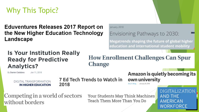Why This Topic?

**Eduventures Releases 2017 Report on** the New Higher Education Technology Landscape

### **Is Your Institution Really Ready for Predictive Analytics?**

By Darren Catalano Jan 11, 2018

> **DIGITAL TRANSFORMATION IN HIGHER EDUCATION**

7 Ed Tech Trends to Watch in 2018

January, 2018

Envisioning Pathways to 2030:

**Megatrends shaping the future of global higher** education and international student mobility

**How Enrollment Challenges Can Spur Change** 

> **Amazon is quietly becoming its** own university January 29, 2018

Competing in a world of sectors without borders

Your Students May Think Machines Teach Them More Than You Do

DIGITALIZAT **AND THE AMERICAN WORKFORCE**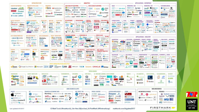

Last updated 4/5/2017

© Matt Turck (@mattturck), Jim Hao (@iimrhao), & FirstMark (@firstmarkcap) mattturck.com/bigdata2017

**FIRSTMARK** EARLY STAGE VENTURE CAPITA

UNT

UNIVERSITY<br>OF NORTH TEXAS

**EST. 1890**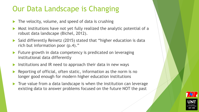# Our Data Landscape is Changing

- The velocity, volume, and speed of data is crushing
- Most institutions have not yet fully realized the analytic potential of a robust data landscape (Bichel, 2012).
- ▶ Said differently Reinetz (2015) stated that "higher education is data rich but information poor (p.4)."
- Future growth in data competency is predicated on leveraging institutional data differently
- Institutions and IR need to approach their data in new ways
- Reporting of official, often static, information as the norm is no longer good enough for modern higher education institutions
- True value from a data landscape is when the institution can leverage existing data to answer problems focused on the future NOT the past

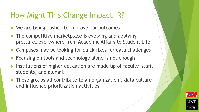# How Might This Change Impact IR?

- ▶ We are being pushed to improve our outcomes
- The competitive marketplace is evolving and applying pressure…everywhere from Academic Affairs to Student Life
- Campuses may be looking for quick fixes for data challenges
- **Focusing on tools and technology alone is not enough**
- Institutions of higher education are made up of faculty, staff, students, and alumni.
- These groups all contribute to an organization's data culture and influence prioritization activities.

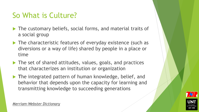# So What is Culture?

- ▶ The customary beliefs, social forms, and material traits of a social group
- ▶ The characteristic features of everyday existence (such as diversions or a way of life) shared by people in a place or time
- The set of shared attitudes, values, goals, and practices that characterizes an institution or organization
- **The integrated pattern of human knowledge, belief, and** behavior that depends upon the capacity for learning and transmitting knowledge to succeeding generations



*Merriam-Webster Dictionary*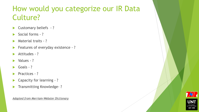# How would you categorize our IR Data Culture?

- Customary beliefs ?
- Social forms ?
- Material traits ?
- Features of everyday existence ?
- Attitudes ?
- Values ?
- Goals ?
- Practices ?
- ▶ Capacity for learning ?
- Transmitting Knowledge- ?

*Adapted from Merriam-Webster Dictionary*

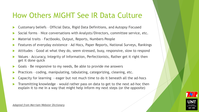# How Others MIGHT See IR Data Culture

- Customary beliefs Official Data, Rigid Data Definitions, and Autopsy Focused
- Social forms Nice conversations with Analysts/Directors, committee service, etc.
- Material traits Factbooks, Output, Reports, Numbers People
- Features of everyday existence Ad Hocs, Paper Reports, National Surveys, Rankings
- Attitudes Good at what they do, seem stressed, busy, responsive, slow to respond
- Values Accuracy, Integrity of Information, Perfectionists, Rather get it right then get it done quick
- Goals Be responsive to my needs, Be able to provide me answers
- Practices coding, manipulating, tabulating, categorizing, cleaning, etc.
- Capacity for learning eager but not much time to do it beneath all the ad-hocs
- Transmitting knowledge would rather pass on data to get to the next ad-hoc then explain it to me in a way that might help inform my next steps (or the opposite)

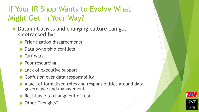# If Your IR Shop Wants to Evolve What Might Get in Your Way?

- ▶ Data initiatives and changing culture can get sidetracked by:
	- $\blacktriangleright$  Prioritization disagreements
	- ▶ Data ownership conflicts
	- $\blacktriangleright$  Turf wars
	- Poor resourcing
	- ▶ Lack of executive support
	- ▶ Confusion over data responsibility
	- A lack of formalized roles and responsibilities around data governance and management
	- Resistance to change out of fear
	- ▶ Other Thoughts?

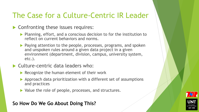# The Case for a Culture-Centric IR Leader

### Confronting these issues requires:

- $\blacktriangleright$  Planning, effort, and a conscious decision to for the institution to reflect on current behaviors and norms.
- **Paying attention to the people, processes, programs, and spoken** and unspoken rules around a given data project in a given environment (department, division, campus, university system, etc.).

### ▶ Culture-centric data leaders who:

- $\blacktriangleright$  Recognize the human element of their work
- Approach data prioritization with a different set of assumptions and practices
- ▶ Value the role of people, processes, and structures.

#### **So How Do We Go About Doing This?**

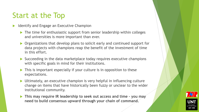# Start at the Top

- Identify and Engage an Executive Champion
	- $\blacktriangleright$  The time for enthusiastic support from senior leadership within colleges and universities is more important than ever.
	- ▶ Organizations that develop plans to solicit early and continued support for data projects with champions reap the benefit of the investment of time in this effort.
	- ▶ Succeeding in the data marketplace today requires executive champions with specific goals in mind for their institutions.
	- This is important especially if your culture is in opposition to these expectations.
	- Ultimately, an executive champion is very helpful in influencing culture change on items that have historically been fuzzy or unclear to the wider institutional community.
	- **This may require IR leadership to seek out access and time – you may need to build consensus upward through your chain of command.**

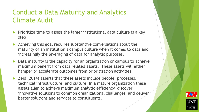### Conduct a Data Maturity and Analytics Climate Audit

- Prioritize time to assess the larger institutional data culture is a key step
- Achieving this goal requires substantive conversations about the maturity of an institution's campus culture when it comes to data and increasingly the leveraging of data for analytic purposes.
- $\triangleright$  Data maturity is the capacity for an organization or campus to achieve maximum benefit from data related assets. These assets will either hamper or accelerate outcomes from prioritization activities.
- ▶ Zeid (2014) asserts that these assets include people, processes, technical infrastructure, and culture. In a mature organization these assets align to achieve maximum analytic efficiency, discover innovative solutions to common organizational challenges, and deliver better solutions and services to constituents.

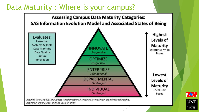## Data Maturity : Where is your campus?



**7 X / 1** UNT **EST. 1890**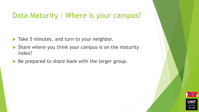# Data Maturity : Where is your campus?

- Take 5 minutes, and turn to your neighbor.
- $\blacktriangleright$  Share where you think your campus is on the maturity index?
- Be prepared to share back with the larger group.

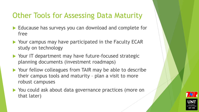# Other Tools for Assessing Data Maturity

- Educause has surveys you can download and complete for free
- ▶ Your campus may have participated in the Faculty ECAR study on technology
- ▶ Your IT department may have future-focused strategic planning documents (investment roadmaps)
- ▶ Your fellow colleagues from TAIR may be able to describe their campus tools and maturity – plan a visit to more robust campuses
- ▶ You could ask about data governance practices (more on that later)

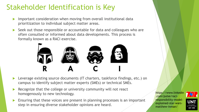# Stakeholder Identification is Key

- Important consideration when moving from overall institutional data prioritization to individual subject matter areas.
- Seek out those responsible or accountable for data and colleagues who are often consulted or informed about data developments. This process is formally known as a RACI exercise.



- Leverage existing source documents (IT charters, taskforce findings, etc.) on campus to identify subject matter experts (SMEs) or technical SMEs.
- Recognize that the college or university community will not react homogenously to new technology.
- Ensuring that these voices are present in planning processes is an important step in ensuring diverse stakeholder opinions are heard.

https://www.linkedin .com/pulse/raciresponsibility-modelexplained-star-warsmatthew-inman/



UN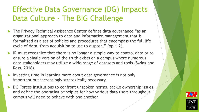# Effective Data Governance (DG) Impacts Data Culture - The BIG Challenge

- The Privacy Technical Assistance Center defines data governance "as an organizational approach to data and information management that is formalized as a set of policies and procedures that encompass the full life cycle of data, from acquisition to use to disposal" (pp.1-2).
- IR must recognize that there is no longer a simple way to control data or to ensure a single version of the truth exists on a campus where numerous data stakeholders may utilize a wide range of datasets and tools (Swing and Ross, 2016).
- Investing time in learning more about data governance is not only important but increasingly strategically necessary.
- DG Forces institutions to confront unspoken norms, tackle ownership issues, and define the operating principles for how various data users throughout campus will need to behave with one another.

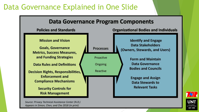# Data Governance Explained in One Slide



Source: Privacy Technical Assistance Center (N.D.) Appears in Simon, Chen, and Cho 2018 (in print)

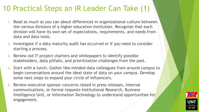# 10 Practical Steps an IR Leader Can Take (1)

- 1. Read as much as you can about differences in organizational culture between the various divisions of a higher education institution. Recognize that each division will have its own set of expectations, requirements, and needs from data and data tools.
- 2. Investigate if a data maturity audit has occurred or if you need to consider starting a process.
- 3. Review old IT project charters and whitepapers to identify possible stakeholders, data pitfalls, and prioritization challenges from the past.
- 4. Start with a lunch. Gather like-minded data colleagues from around campus to begin conversations around the ideal state of data on your campus. Develop some next steps to expand your circle of influencers.
- 5. Review executive sponsor concerns raised in press releases, internal communications, or formal requests Institutional Research, Business Intelligence Unit, or Information Technology to understand opportunities for engagement.

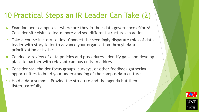# 10 Practical Steps an IR Leader Can Take (2)

- 6. Examine peer campuses where are they in their data governance efforts? Consider site visits to learn more and see different structures in action.
- 7. Take a course in story-telling. Connect the seemingly disparate roles of data leader with story teller to advance your organization through data prioritization activities.
- 8. Conduct a review of data policies and procedures. Identify gaps and develop plans to partner with relevant campus units to address.
- 9. Consider stakeholder focus groups, surveys, or other feedback gathering opportunities to build your understanding of the campus data culture.
- 10. Hold a data summit. Provide the structure and the agenda but then listen…carefully.

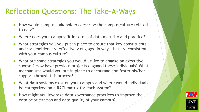# Reflection Questions: The Take-A-Ways

- How would campus stakeholders describe the campus culture related to data?
- Where does your campus fit in terms of data maturity and practice?
- $\blacktriangleright$  What strategies will you put in place to ensure that key constituents and stakeholders are effectively engaged in ways that are consistent with your campus culture?
- What are some strategies you would utilize to engage an executive sponsor? How have previous projects engaged these individuals? What mechanisms would you put in place to encourage and foster his/her support through this process?
- What data systems exist on your campus and where would individuals be categorized on a RACI matrix for each system?
- How might you leverage data governance practices to improve the data prioritization and data quality of your campus?

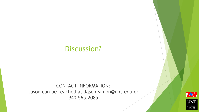### Discussion?

#### CONTACT INFORMATION: Jason can be reached at Jason.simon@unt.edu or 940.565.2085



NOKIH TEX EST. 1890